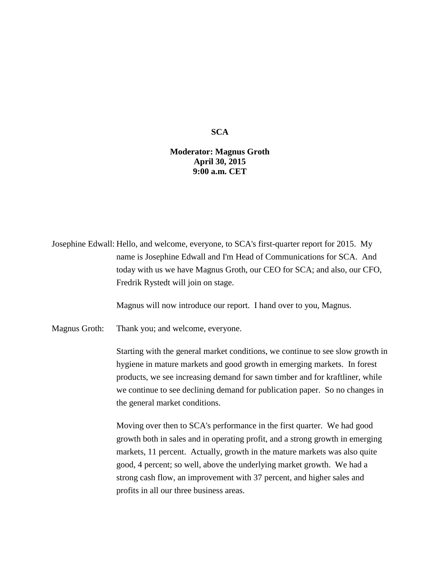## **SCA**

## **Moderator: Magnus Groth April 30, 2015 9:00 a.m. CET**

Josephine Edwall: Hello, and welcome, everyone, to SCA's first-quarter report for 2015. My name is Josephine Edwall and I'm Head of Communications for SCA. And today with us we have Magnus Groth, our CEO for SCA; and also, our CFO, Fredrik Rystedt will join on stage.

Magnus will now introduce our report. I hand over to you, Magnus.

Magnus Groth: Thank you; and welcome, everyone.

Starting with the general market conditions, we continue to see slow growth in hygiene in mature markets and good growth in emerging markets. In forest products, we see increasing demand for sawn timber and for kraftliner, while we continue to see declining demand for publication paper. So no changes in the general market conditions.

Moving over then to SCA's performance in the first quarter. We had good growth both in sales and in operating profit, and a strong growth in emerging markets, 11 percent. Actually, growth in the mature markets was also quite good, 4 percent; so well, above the underlying market growth. We had a strong cash flow, an improvement with 37 percent, and higher sales and profits in all our three business areas.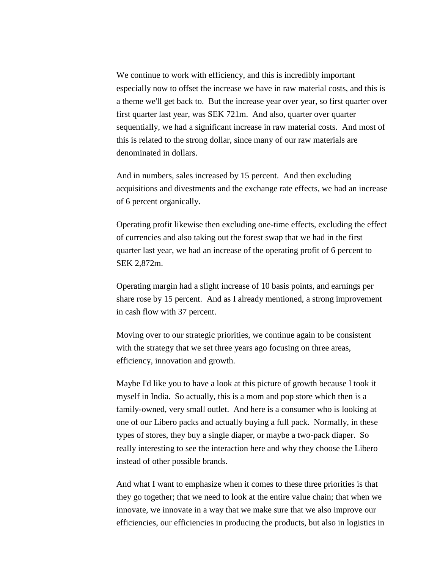We continue to work with efficiency, and this is incredibly important especially now to offset the increase we have in raw material costs, and this is a theme we'll get back to. But the increase year over year, so first quarter over first quarter last year, was SEK 721m. And also, quarter over quarter sequentially, we had a significant increase in raw material costs. And most of this is related to the strong dollar, since many of our raw materials are denominated in dollars.

And in numbers, sales increased by 15 percent. And then excluding acquisitions and divestments and the exchange rate effects, we had an increase of 6 percent organically.

Operating profit likewise then excluding one-time effects, excluding the effect of currencies and also taking out the forest swap that we had in the first quarter last year, we had an increase of the operating profit of 6 percent to SEK 2,872m.

Operating margin had a slight increase of 10 basis points, and earnings per share rose by 15 percent. And as I already mentioned, a strong improvement in cash flow with 37 percent.

Moving over to our strategic priorities, we continue again to be consistent with the strategy that we set three years ago focusing on three areas, efficiency, innovation and growth.

Maybe I'd like you to have a look at this picture of growth because I took it myself in India. So actually, this is a mom and pop store which then is a family-owned, very small outlet. And here is a consumer who is looking at one of our Libero packs and actually buying a full pack. Normally, in these types of stores, they buy a single diaper, or maybe a two-pack diaper. So really interesting to see the interaction here and why they choose the Libero instead of other possible brands.

And what I want to emphasize when it comes to these three priorities is that they go together; that we need to look at the entire value chain; that when we innovate, we innovate in a way that we make sure that we also improve our efficiencies, our efficiencies in producing the products, but also in logistics in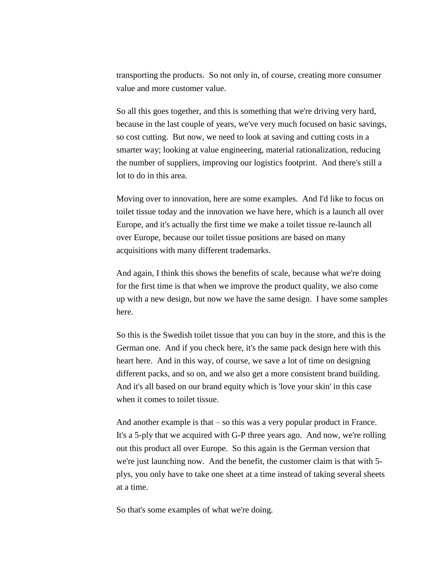transporting the products. So not only in, of course, creating more consumer value and more customer value.

So all this goes together, and this is something that we're driving very hard, because in the last couple of years, we've very much focused on basic savings, so cost cutting. But now, we need to look at saving and cutting costs in a smarter way; looking at value engineering, material rationalization, reducing the number of suppliers, improving our logistics footprint. And there's still a lot to do in this area.

Moving over to innovation, here are some examples. And I'd like to focus on toilet tissue today and the innovation we have here, which is a launch all over Europe, and it's actually the first time we make a toilet tissue re-launch all over Europe, because our toilet tissue positions are based on many acquisitions with many different trademarks.

And again, I think this shows the benefits of scale, because what we're doing for the first time is that when we improve the product quality, we also come up with a new design, but now we have the same design. I have some samples here.

So this is the Swedish toilet tissue that you can buy in the store, and this is the German one. And if you check here, it's the same pack design here with this heart here. And in this way, of course, we save a lot of time on designing different packs, and so on, and we also get a more consistent brand building. And it's all based on our brand equity which is 'love your skin' in this case when it comes to toilet tissue.

And another example is that – so this was a very popular product in France. It's a 5-ply that we acquired with G-P three years ago. And now, we're rolling out this product all over Europe. So this again is the German version that we're just launching now. And the benefit, the customer claim is that with 5 plys, you only have to take one sheet at a time instead of taking several sheets at a time.

So that's some examples of what we're doing.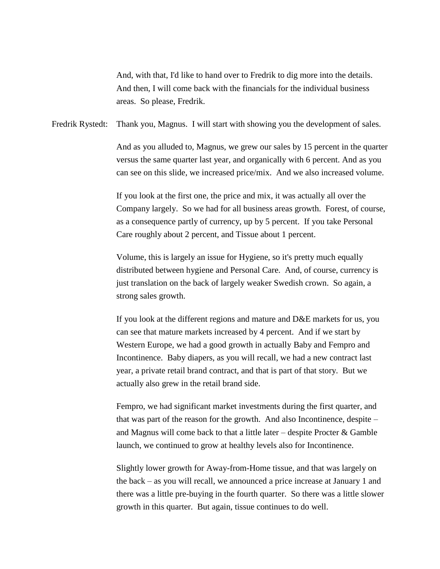And, with that, I'd like to hand over to Fredrik to dig more into the details. And then, I will come back with the financials for the individual business areas. So please, Fredrik.

Fredrik Rystedt: Thank you, Magnus. I will start with showing you the development of sales.

And as you alluded to, Magnus, we grew our sales by 15 percent in the quarter versus the same quarter last year, and organically with 6 percent. And as you can see on this slide, we increased price/mix. And we also increased volume.

If you look at the first one, the price and mix, it was actually all over the Company largely. So we had for all business areas growth. Forest, of course, as a consequence partly of currency, up by 5 percent. If you take Personal Care roughly about 2 percent, and Tissue about 1 percent.

Volume, this is largely an issue for Hygiene, so it's pretty much equally distributed between hygiene and Personal Care. And, of course, currency is just translation on the back of largely weaker Swedish crown. So again, a strong sales growth.

If you look at the different regions and mature and D&E markets for us, you can see that mature markets increased by 4 percent. And if we start by Western Europe, we had a good growth in actually Baby and Fempro and Incontinence. Baby diapers, as you will recall, we had a new contract last year, a private retail brand contract, and that is part of that story. But we actually also grew in the retail brand side.

Fempro, we had significant market investments during the first quarter, and that was part of the reason for the growth. And also Incontinence, despite – and Magnus will come back to that a little later – despite Procter  $\&$  Gamble launch, we continued to grow at healthy levels also for Incontinence.

Slightly lower growth for Away-from-Home tissue, and that was largely on the back – as you will recall, we announced a price increase at January 1 and there was a little pre-buying in the fourth quarter. So there was a little slower growth in this quarter. But again, tissue continues to do well.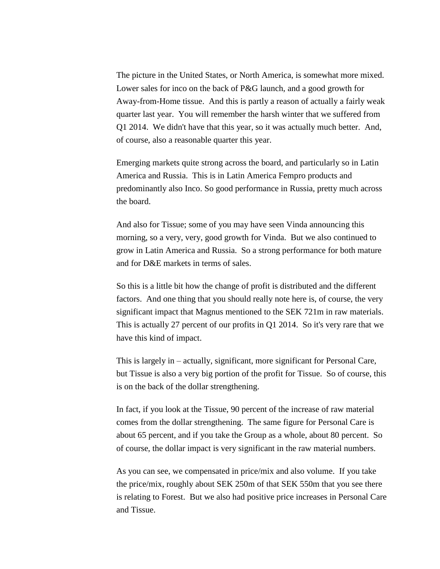The picture in the United States, or North America, is somewhat more mixed. Lower sales for inco on the back of P&G launch, and a good growth for Away-from-Home tissue. And this is partly a reason of actually a fairly weak quarter last year. You will remember the harsh winter that we suffered from Q1 2014. We didn't have that this year, so it was actually much better. And, of course, also a reasonable quarter this year.

Emerging markets quite strong across the board, and particularly so in Latin America and Russia. This is in Latin America Fempro products and predominantly also Inco. So good performance in Russia, pretty much across the board.

And also for Tissue; some of you may have seen Vinda announcing this morning, so a very, very, good growth for Vinda. But we also continued to grow in Latin America and Russia. So a strong performance for both mature and for D&E markets in terms of sales.

So this is a little bit how the change of profit is distributed and the different factors. And one thing that you should really note here is, of course, the very significant impact that Magnus mentioned to the SEK 721m in raw materials. This is actually 27 percent of our profits in Q1 2014. So it's very rare that we have this kind of impact.

This is largely in – actually, significant, more significant for Personal Care, but Tissue is also a very big portion of the profit for Tissue. So of course, this is on the back of the dollar strengthening.

In fact, if you look at the Tissue, 90 percent of the increase of raw material comes from the dollar strengthening. The same figure for Personal Care is about 65 percent, and if you take the Group as a whole, about 80 percent. So of course, the dollar impact is very significant in the raw material numbers.

As you can see, we compensated in price/mix and also volume. If you take the price/mix, roughly about SEK 250m of that SEK 550m that you see there is relating to Forest. But we also had positive price increases in Personal Care and Tissue.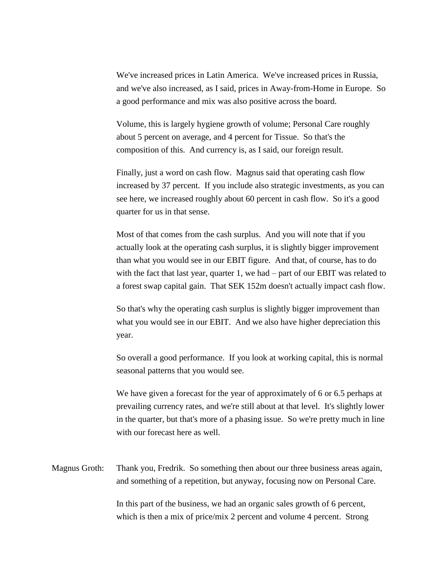We've increased prices in Latin America. We've increased prices in Russia, and we've also increased, as I said, prices in Away-from-Home in Europe. So a good performance and mix was also positive across the board.

Volume, this is largely hygiene growth of volume; Personal Care roughly about 5 percent on average, and 4 percent for Tissue. So that's the composition of this. And currency is, as I said, our foreign result.

Finally, just a word on cash flow. Magnus said that operating cash flow increased by 37 percent. If you include also strategic investments, as you can see here, we increased roughly about 60 percent in cash flow. So it's a good quarter for us in that sense.

Most of that comes from the cash surplus. And you will note that if you actually look at the operating cash surplus, it is slightly bigger improvement than what you would see in our EBIT figure. And that, of course, has to do with the fact that last year, quarter 1, we had – part of our EBIT was related to a forest swap capital gain. That SEK 152m doesn't actually impact cash flow.

So that's why the operating cash surplus is slightly bigger improvement than what you would see in our EBIT. And we also have higher depreciation this year.

So overall a good performance. If you look at working capital, this is normal seasonal patterns that you would see.

We have given a forecast for the year of approximately of 6 or 6.5 perhaps at prevailing currency rates, and we're still about at that level. It's slightly lower in the quarter, but that's more of a phasing issue. So we're pretty much in line with our forecast here as well.

Magnus Groth: Thank you, Fredrik. So something then about our three business areas again, and something of a repetition, but anyway, focusing now on Personal Care.

> In this part of the business, we had an organic sales growth of 6 percent, which is then a mix of price/mix 2 percent and volume 4 percent. Strong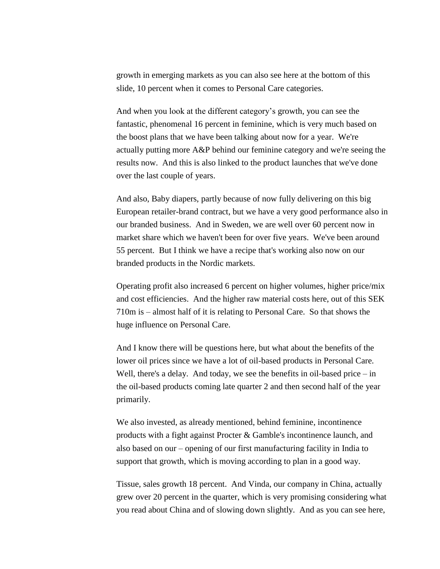growth in emerging markets as you can also see here at the bottom of this slide, 10 percent when it comes to Personal Care categories.

And when you look at the different category's growth, you can see the fantastic, phenomenal 16 percent in feminine, which is very much based on the boost plans that we have been talking about now for a year. We're actually putting more A&P behind our feminine category and we're seeing the results now. And this is also linked to the product launches that we've done over the last couple of years.

And also, Baby diapers, partly because of now fully delivering on this big European retailer-brand contract, but we have a very good performance also in our branded business. And in Sweden, we are well over 60 percent now in market share which we haven't been for over five years. We've been around 55 percent. But I think we have a recipe that's working also now on our branded products in the Nordic markets.

Operating profit also increased 6 percent on higher volumes, higher price/mix and cost efficiencies. And the higher raw material costs here, out of this SEK 710m is – almost half of it is relating to Personal Care. So that shows the huge influence on Personal Care.

And I know there will be questions here, but what about the benefits of the lower oil prices since we have a lot of oil-based products in Personal Care. Well, there's a delay. And today, we see the benefits in oil-based price – in the oil-based products coming late quarter 2 and then second half of the year primarily.

We also invested, as already mentioned, behind feminine, incontinence products with a fight against Procter & Gamble's incontinence launch, and also based on our – opening of our first manufacturing facility in India to support that growth, which is moving according to plan in a good way.

Tissue, sales growth 18 percent. And Vinda, our company in China, actually grew over 20 percent in the quarter, which is very promising considering what you read about China and of slowing down slightly. And as you can see here,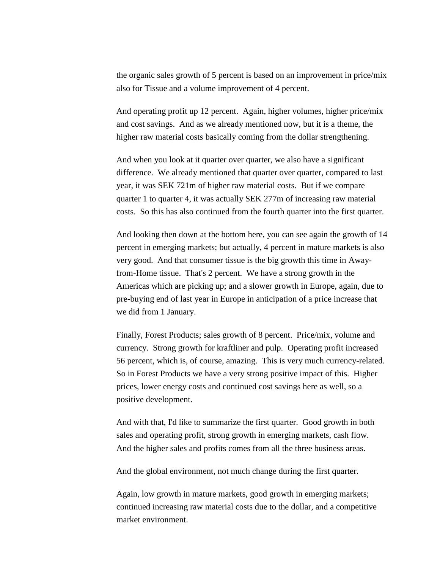the organic sales growth of 5 percent is based on an improvement in price/mix also for Tissue and a volume improvement of 4 percent.

And operating profit up 12 percent. Again, higher volumes, higher price/mix and cost savings. And as we already mentioned now, but it is a theme, the higher raw material costs basically coming from the dollar strengthening.

And when you look at it quarter over quarter, we also have a significant difference. We already mentioned that quarter over quarter, compared to last year, it was SEK 721m of higher raw material costs. But if we compare quarter 1 to quarter 4, it was actually SEK 277m of increasing raw material costs. So this has also continued from the fourth quarter into the first quarter.

And looking then down at the bottom here, you can see again the growth of 14 percent in emerging markets; but actually, 4 percent in mature markets is also very good. And that consumer tissue is the big growth this time in Awayfrom-Home tissue. That's 2 percent. We have a strong growth in the Americas which are picking up; and a slower growth in Europe, again, due to pre-buying end of last year in Europe in anticipation of a price increase that we did from 1 January.

Finally, Forest Products; sales growth of 8 percent. Price/mix, volume and currency. Strong growth for kraftliner and pulp. Operating profit increased 56 percent, which is, of course, amazing. This is very much currency-related. So in Forest Products we have a very strong positive impact of this. Higher prices, lower energy costs and continued cost savings here as well, so a positive development.

And with that, I'd like to summarize the first quarter. Good growth in both sales and operating profit, strong growth in emerging markets, cash flow. And the higher sales and profits comes from all the three business areas.

And the global environment, not much change during the first quarter.

Again, low growth in mature markets, good growth in emerging markets; continued increasing raw material costs due to the dollar, and a competitive market environment.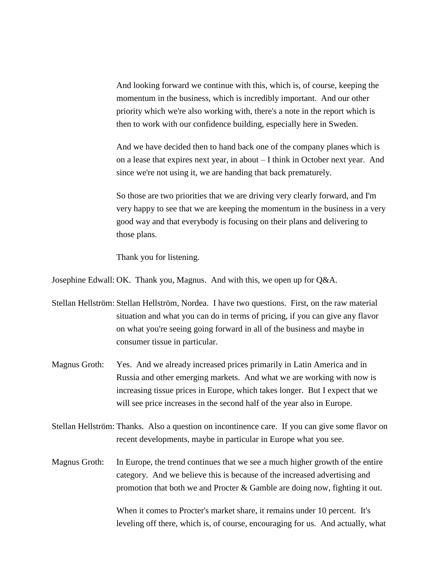And looking forward we continue with this, which is, of course, keeping the momentum in the business, which is incredibly important. And our other priority which we're also working with, there's a note in the report which is then to work with our confidence building, especially here in Sweden.

And we have decided then to hand back one of the company planes which is on a lease that expires next year, in about – I think in October next year. And since we're not using it, we are handing that back prematurely.

So those are two priorities that we are driving very clearly forward, and I'm very happy to see that we are keeping the momentum in the business in a very good way and that everybody is focusing on their plans and delivering to those plans.

Thank you for listening.

Josephine Edwall: OK. Thank you, Magnus. And with this, we open up for Q&A.

Stellan Hellström: Stellan Hellström, Nordea. I have two questions. First, on the raw material situation and what you can do in terms of pricing, if you can give any flavor on what you're seeing going forward in all of the business and maybe in consumer tissue in particular.

- Magnus Groth: Yes. And we already increased prices primarily in Latin America and in Russia and other emerging markets. And what we are working with now is increasing tissue prices in Europe, which takes longer. But I expect that we will see price increases in the second half of the year also in Europe.
- Stellan Hellström: Thanks. Also a question on incontinence care. If you can give some flavor on recent developments, maybe in particular in Europe what you see.
- Magnus Groth: In Europe, the trend continues that we see a much higher growth of the entire category. And we believe this is because of the increased advertising and promotion that both we and Procter & Gamble are doing now, fighting it out.

When it comes to Procter's market share, it remains under 10 percent. It's leveling off there, which is, of course, encouraging for us. And actually, what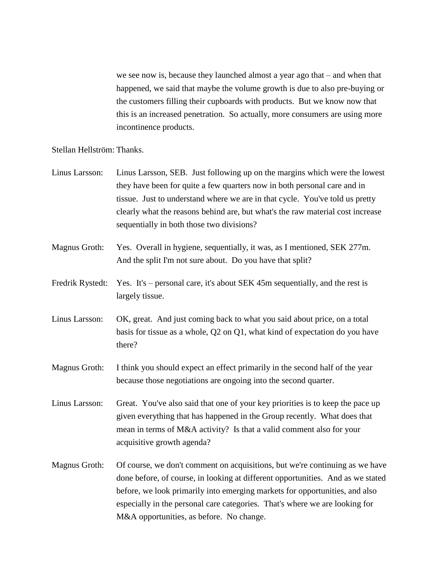we see now is, because they launched almost a year ago that – and when that happened, we said that maybe the volume growth is due to also pre-buying or the customers filling their cupboards with products. But we know now that this is an increased penetration. So actually, more consumers are using more incontinence products.

## Stellan Hellström: Thanks.

- Linus Larsson: Linus Larsson, SEB. Just following up on the margins which were the lowest they have been for quite a few quarters now in both personal care and in tissue. Just to understand where we are in that cycle. You've told us pretty clearly what the reasons behind are, but what's the raw material cost increase sequentially in both those two divisions?
- Magnus Groth: Yes. Overall in hygiene, sequentially, it was, as I mentioned, SEK 277m. And the split I'm not sure about. Do you have that split?
- Fredrik Rystedt: Yes. It's personal care, it's about SEK 45m sequentially, and the rest is largely tissue.
- Linus Larsson: OK, great. And just coming back to what you said about price, on a total basis for tissue as a whole, Q2 on Q1, what kind of expectation do you have there?
- Magnus Groth: I think you should expect an effect primarily in the second half of the year because those negotiations are ongoing into the second quarter.
- Linus Larsson: Great. You've also said that one of your key priorities is to keep the pace up given everything that has happened in the Group recently. What does that mean in terms of M&A activity? Is that a valid comment also for your acquisitive growth agenda?
- Magnus Groth: Of course, we don't comment on acquisitions, but we're continuing as we have done before, of course, in looking at different opportunities. And as we stated before, we look primarily into emerging markets for opportunities, and also especially in the personal care categories. That's where we are looking for M&A opportunities, as before. No change.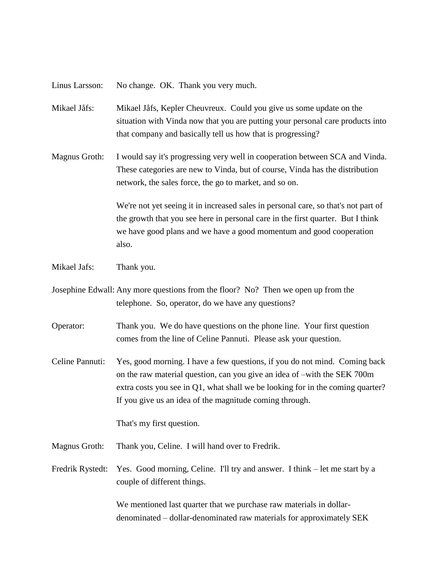Linus Larsson: No change. OK. Thank you very much.

- Mikael Jåfs: Mikael Jåfs, Kepler Cheuvreux. Could you give us some update on the situation with Vinda now that you are putting your personal care products into that company and basically tell us how that is progressing?
- Magnus Groth: I would say it's progressing very well in cooperation between SCA and Vinda. These categories are new to Vinda, but of course, Vinda has the distribution network, the sales force, the go to market, and so on.

We're not yet seeing it in increased sales in personal care, so that's not part of the growth that you see here in personal care in the first quarter. But I think we have good plans and we have a good momentum and good cooperation also.

- Mikael Jafs: Thank you.
- Josephine Edwall: Any more questions from the floor? No? Then we open up from the telephone. So, operator, do we have any questions?
- Operator: Thank you. We do have questions on the phone line. Your first question comes from the line of Celine Pannuti. Please ask your question.
- Celine Pannuti: Yes, good morning. I have a few questions, if you do not mind. Coming back on the raw material question, can you give an idea of –with the SEK 700m extra costs you see in Q1, what shall we be looking for in the coming quarter? If you give us an idea of the magnitude coming through.

That's my first question.

- Magnus Groth: Thank you, Celine. I will hand over to Fredrik.
- Fredrik Rystedt: Yes. Good morning, Celine. I'll try and answer. I think let me start by a couple of different things.

We mentioned last quarter that we purchase raw materials in dollardenominated – dollar-denominated raw materials for approximately SEK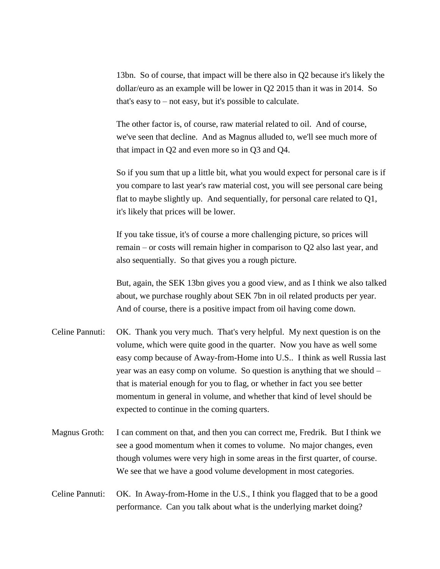13bn. So of course, that impact will be there also in Q2 because it's likely the dollar/euro as an example will be lower in Q2 2015 than it was in 2014. So that's easy to – not easy, but it's possible to calculate.

The other factor is, of course, raw material related to oil. And of course, we've seen that decline. And as Magnus alluded to, we'll see much more of that impact in Q2 and even more so in Q3 and Q4.

So if you sum that up a little bit, what you would expect for personal care is if you compare to last year's raw material cost, you will see personal care being flat to maybe slightly up. And sequentially, for personal care related to Q1, it's likely that prices will be lower.

If you take tissue, it's of course a more challenging picture, so prices will remain – or costs will remain higher in comparison to Q2 also last year, and also sequentially. So that gives you a rough picture.

But, again, the SEK 13bn gives you a good view, and as I think we also talked about, we purchase roughly about SEK 7bn in oil related products per year. And of course, there is a positive impact from oil having come down.

- Celine Pannuti: OK. Thank you very much. That's very helpful. My next question is on the volume, which were quite good in the quarter. Now you have as well some easy comp because of Away-from-Home into U.S.. I think as well Russia last year was an easy comp on volume. So question is anything that we should – that is material enough for you to flag, or whether in fact you see better momentum in general in volume, and whether that kind of level should be expected to continue in the coming quarters.
- Magnus Groth: I can comment on that, and then you can correct me, Fredrik. But I think we see a good momentum when it comes to volume. No major changes, even though volumes were very high in some areas in the first quarter, of course. We see that we have a good volume development in most categories.
- Celine Pannuti: OK. In Away-from-Home in the U.S., I think you flagged that to be a good performance. Can you talk about what is the underlying market doing?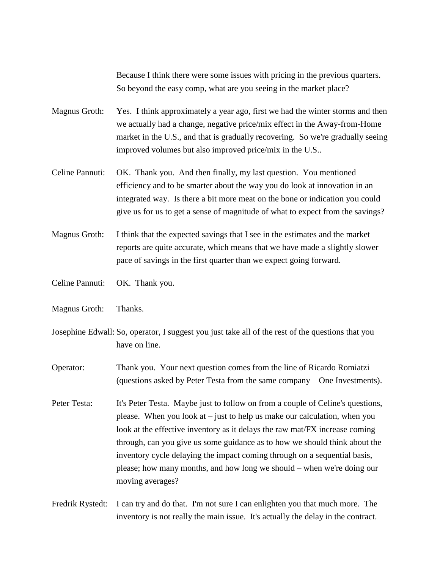Because I think there were some issues with pricing in the previous quarters. So beyond the easy comp, what are you seeing in the market place?

Magnus Groth: Yes. I think approximately a year ago, first we had the winter storms and then we actually had a change, negative price/mix effect in the Away-from-Home market in the U.S., and that is gradually recovering. So we're gradually seeing improved volumes but also improved price/mix in the U.S..

- Celine Pannuti: OK. Thank you. And then finally, my last question. You mentioned efficiency and to be smarter about the way you do look at innovation in an integrated way. Is there a bit more meat on the bone or indication you could give us for us to get a sense of magnitude of what to expect from the savings?
- Magnus Groth: I think that the expected savings that I see in the estimates and the market reports are quite accurate, which means that we have made a slightly slower pace of savings in the first quarter than we expect going forward.
- Celine Pannuti: OK. Thank you.
- Magnus Groth: Thanks.
- Josephine Edwall: So, operator, I suggest you just take all of the rest of the questions that you have on line.
- Operator: Thank you. Your next question comes from the line of Ricardo Romiatzi (questions asked by Peter Testa from the same company – One Investments).
- Peter Testa: It's Peter Testa. Maybe just to follow on from a couple of Celine's questions, please. When you look at – just to help us make our calculation, when you look at the effective inventory as it delays the raw mat/FX increase coming through, can you give us some guidance as to how we should think about the inventory cycle delaying the impact coming through on a sequential basis, please; how many months, and how long we should – when we're doing our moving averages?
- Fredrik Rystedt: I can try and do that. I'm not sure I can enlighten you that much more. The inventory is not really the main issue. It's actually the delay in the contract.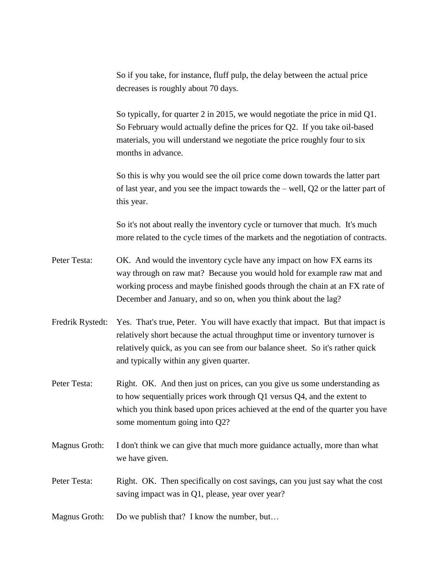So if you take, for instance, fluff pulp, the delay between the actual price decreases is roughly about 70 days.

So typically, for quarter 2 in 2015, we would negotiate the price in mid Q1. So February would actually define the prices for Q2. If you take oil-based materials, you will understand we negotiate the price roughly four to six months in advance.

So this is why you would see the oil price come down towards the latter part of last year, and you see the impact towards the – well, Q2 or the latter part of this year.

So it's not about really the inventory cycle or turnover that much. It's much more related to the cycle times of the markets and the negotiation of contracts.

- Peter Testa: OK. And would the inventory cycle have any impact on how FX earns its way through on raw mat? Because you would hold for example raw mat and working process and maybe finished goods through the chain at an FX rate of December and January, and so on, when you think about the lag?
- Fredrik Rystedt: Yes. That's true, Peter. You will have exactly that impact. But that impact is relatively short because the actual throughput time or inventory turnover is relatively quick, as you can see from our balance sheet. So it's rather quick and typically within any given quarter.
- Peter Testa: Right. OK. And then just on prices, can you give us some understanding as to how sequentially prices work through Q1 versus Q4, and the extent to which you think based upon prices achieved at the end of the quarter you have some momentum going into Q2?
- Magnus Groth: I don't think we can give that much more guidance actually, more than what we have given.
- Peter Testa: Right. OK. Then specifically on cost savings, can you just say what the cost saving impact was in Q1, please, year over year?
- Magnus Groth: Do we publish that? I know the number, but...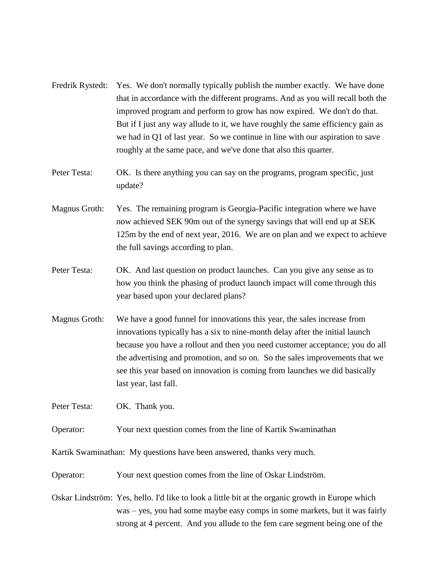|  | Fredrik Rystedt: Yes. We don't normally typically publish the number exactly. We have done |
|--|--------------------------------------------------------------------------------------------|
|  | that in accordance with the different programs. And as you will recall both the            |
|  | improved program and perform to grow has now expired. We don't do that.                    |
|  | But if I just any way allude to it, we have roughly the same efficiency gain as            |
|  | we had in Q1 of last year. So we continue in line with our aspiration to save              |
|  | roughly at the same pace, and we've done that also this quarter.                           |

- Peter Testa: OK. Is there anything you can say on the programs, program specific, just update?
- Magnus Groth: Yes. The remaining program is Georgia-Pacific integration where we have now achieved SEK 90m out of the synergy savings that will end up at SEK 125m by the end of next year, 2016. We are on plan and we expect to achieve the full savings according to plan.
- Peter Testa: OK. And last question on product launches. Can you give any sense as to how you think the phasing of product launch impact will come through this year based upon your declared plans?
- Magnus Groth: We have a good funnel for innovations this year, the sales increase from innovations typically has a six to nine-month delay after the initial launch because you have a rollout and then you need customer acceptance; you do all the advertising and promotion, and so on. So the sales improvements that we see this year based on innovation is coming from launches we did basically last year, last fall.

Peter Testa: OK. Thank you.

Operator: Your next question comes from the line of Kartik Swaminathan

Kartik Swaminathan: My questions have been answered, thanks very much.

Operator: Your next question comes from the line of Oskar Lindström.

Oskar Lindström: Yes, hello. I'd like to look a little bit at the organic growth in Europe which was – yes, you had some maybe easy comps in some markets, but it was fairly strong at 4 percent. And you allude to the fem care segment being one of the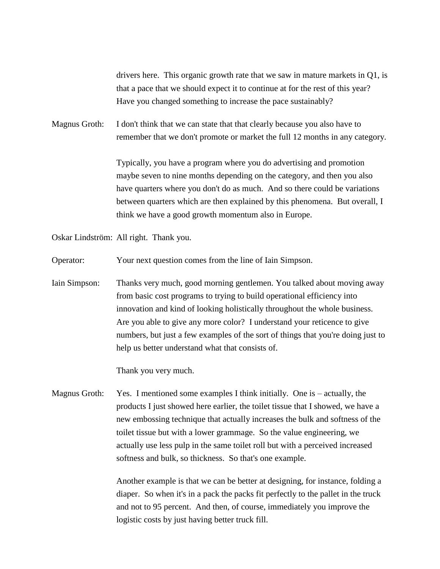drivers here. This organic growth rate that we saw in mature markets in Q1, is that a pace that we should expect it to continue at for the rest of this year? Have you changed something to increase the pace sustainably?

Magnus Groth: I don't think that we can state that that clearly because you also have to remember that we don't promote or market the full 12 months in any category.

> Typically, you have a program where you do advertising and promotion maybe seven to nine months depending on the category, and then you also have quarters where you don't do as much. And so there could be variations between quarters which are then explained by this phenomena. But overall, I think we have a good growth momentum also in Europe.

Oskar Lindström: All right. Thank you.

Operator: Your next question comes from the line of Iain Simpson.

Iain Simpson: Thanks very much, good morning gentlemen. You talked about moving away from basic cost programs to trying to build operational efficiency into innovation and kind of looking holistically throughout the whole business. Are you able to give any more color? I understand your reticence to give numbers, but just a few examples of the sort of things that you're doing just to help us better understand what that consists of.

Thank you very much.

Magnus Groth: Yes. I mentioned some examples I think initially. One is – actually, the products I just showed here earlier, the toilet tissue that I showed, we have a new embossing technique that actually increases the bulk and softness of the toilet tissue but with a lower grammage. So the value engineering, we actually use less pulp in the same toilet roll but with a perceived increased softness and bulk, so thickness. So that's one example.

> Another example is that we can be better at designing, for instance, folding a diaper. So when it's in a pack the packs fit perfectly to the pallet in the truck and not to 95 percent. And then, of course, immediately you improve the logistic costs by just having better truck fill.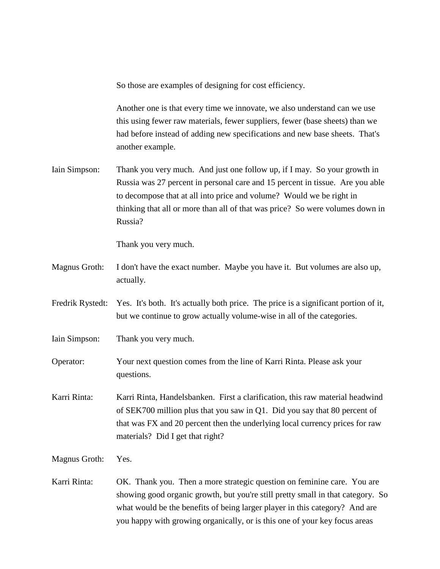So those are examples of designing for cost efficiency.

Another one is that every time we innovate, we also understand can we use this using fewer raw materials, fewer suppliers, fewer (base sheets) than we had before instead of adding new specifications and new base sheets. That's another example.

Iain Simpson: Thank you very much. And just one follow up, if I may. So your growth in Russia was 27 percent in personal care and 15 percent in tissue. Are you able to decompose that at all into price and volume? Would we be right in thinking that all or more than all of that was price? So were volumes down in Russia?

Thank you very much.

- Magnus Groth: I don't have the exact number. Maybe you have it. But volumes are also up, actually.
- Fredrik Rystedt: Yes. It's both. It's actually both price. The price is a significant portion of it, but we continue to grow actually volume-wise in all of the categories.
- Iain Simpson: Thank you very much.
- Operator: Your next question comes from the line of Karri Rinta. Please ask your questions.
- Karri Rinta: Karri Rinta, Handelsbanken. First a clarification, this raw material headwind of SEK700 million plus that you saw in Q1. Did you say that 80 percent of that was FX and 20 percent then the underlying local currency prices for raw materials? Did I get that right?

Magnus Groth: Yes.

Karri Rinta: OK. Thank you. Then a more strategic question on feminine care. You are showing good organic growth, but you're still pretty small in that category. So what would be the benefits of being larger player in this category? And are you happy with growing organically, or is this one of your key focus areas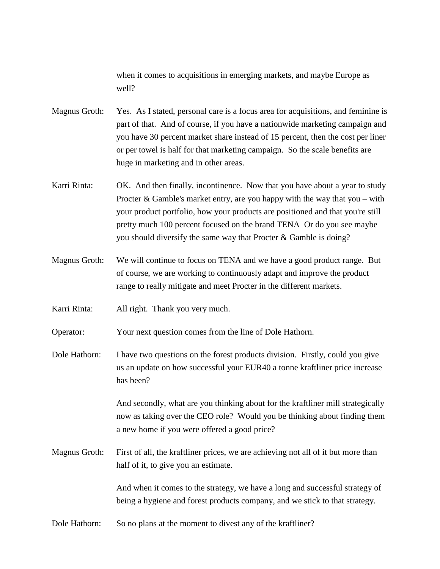when it comes to acquisitions in emerging markets, and maybe Europe as well?

- Magnus Groth: Yes. As I stated, personal care is a focus area for acquisitions, and feminine is part of that. And of course, if you have a nationwide marketing campaign and you have 30 percent market share instead of 15 percent, then the cost per liner or per towel is half for that marketing campaign. So the scale benefits are huge in marketing and in other areas.
- Karri Rinta: OK. And then finally, incontinence. Now that you have about a year to study Procter  $\&$  Gamble's market entry, are you happy with the way that you – with your product portfolio, how your products are positioned and that you're still pretty much 100 percent focused on the brand TENA Or do you see maybe you should diversify the same way that Procter & Gamble is doing?
- Magnus Groth: We will continue to focus on TENA and we have a good product range. But of course, we are working to continuously adapt and improve the product range to really mitigate and meet Procter in the different markets.

Karri Rinta: All right. Thank you very much.

Operator: Your next question comes from the line of Dole Hathorn.

Dole Hathorn: I have two questions on the forest products division. Firstly, could you give us an update on how successful your EUR40 a tonne kraftliner price increase has been?

> And secondly, what are you thinking about for the kraftliner mill strategically now as taking over the CEO role? Would you be thinking about finding them a new home if you were offered a good price?

Magnus Groth: First of all, the kraftliner prices, we are achieving not all of it but more than half of it, to give you an estimate.

> And when it comes to the strategy, we have a long and successful strategy of being a hygiene and forest products company, and we stick to that strategy.

Dole Hathorn: So no plans at the moment to divest any of the kraftliner?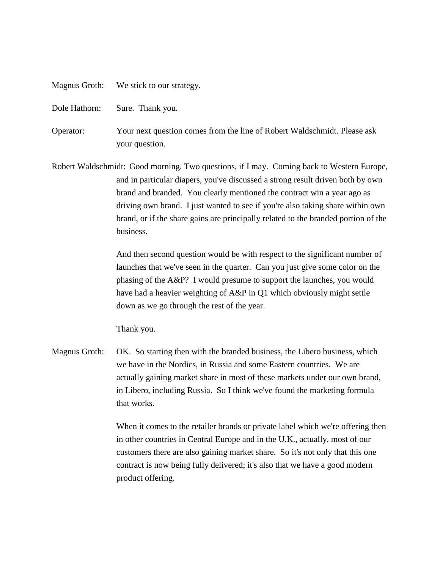- Magnus Groth: We stick to our strategy.
- Dole Hathorn: Sure. Thank you.
- Operator: Your next question comes from the line of Robert Waldschmidt. Please ask your question.
- Robert Waldschmidt: Good morning. Two questions, if I may. Coming back to Western Europe, and in particular diapers, you've discussed a strong result driven both by own brand and branded. You clearly mentioned the contract win a year ago as driving own brand. I just wanted to see if you're also taking share within own brand, or if the share gains are principally related to the branded portion of the business.

And then second question would be with respect to the significant number of launches that we've seen in the quarter. Can you just give some color on the phasing of the A&P? I would presume to support the launches, you would have had a heavier weighting of A&P in Q1 which obviously might settle down as we go through the rest of the year.

Thank you.

Magnus Groth: OK. So starting then with the branded business, the Libero business, which we have in the Nordics, in Russia and some Eastern countries. We are actually gaining market share in most of these markets under our own brand, in Libero, including Russia. So I think we've found the marketing formula that works.

> When it comes to the retailer brands or private label which we're offering then in other countries in Central Europe and in the U.K., actually, most of our customers there are also gaining market share. So it's not only that this one contract is now being fully delivered; it's also that we have a good modern product offering.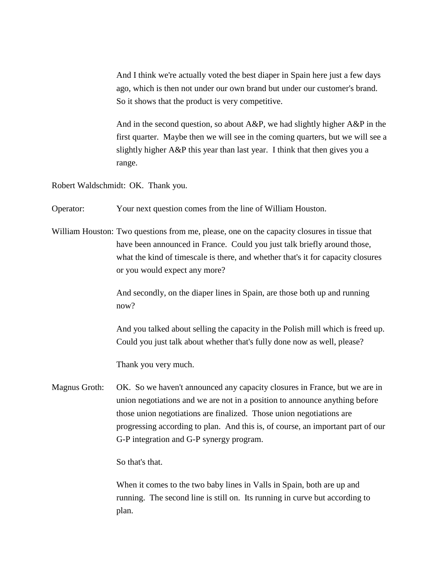And I think we're actually voted the best diaper in Spain here just a few days ago, which is then not under our own brand but under our customer's brand. So it shows that the product is very competitive.

And in the second question, so about A&P, we had slightly higher A&P in the first quarter. Maybe then we will see in the coming quarters, but we will see a slightly higher A&P this year than last year. I think that then gives you a range.

Robert Waldschmidt: OK. Thank you.

Operator: Your next question comes from the line of William Houston.

William Houston: Two questions from me, please, one on the capacity closures in tissue that have been announced in France. Could you just talk briefly around those, what the kind of timescale is there, and whether that's it for capacity closures or you would expect any more?

> And secondly, on the diaper lines in Spain, are those both up and running now?

And you talked about selling the capacity in the Polish mill which is freed up. Could you just talk about whether that's fully done now as well, please?

Thank you very much.

Magnus Groth: OK. So we haven't announced any capacity closures in France, but we are in union negotiations and we are not in a position to announce anything before those union negotiations are finalized. Those union negotiations are progressing according to plan. And this is, of course, an important part of our G-P integration and G-P synergy program.

So that's that.

When it comes to the two baby lines in Valls in Spain, both are up and running. The second line is still on. Its running in curve but according to plan.